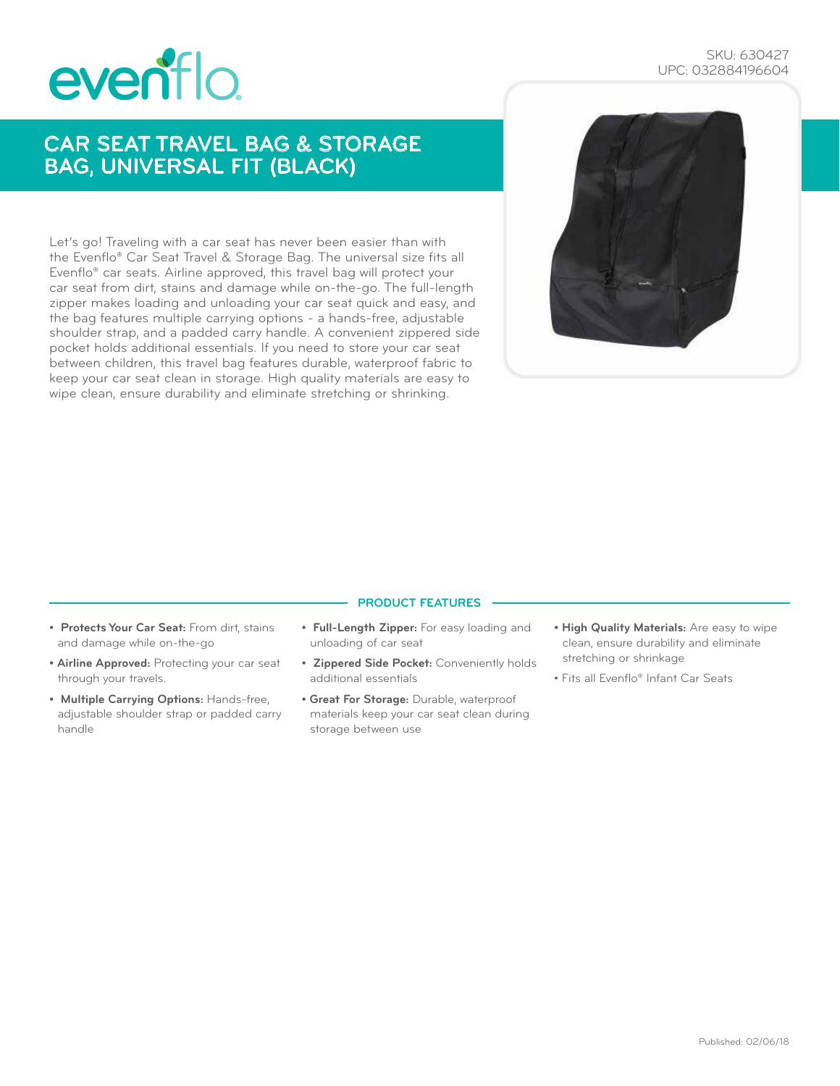# eventlo

### SKU: 630427 UPC: 032884196604

# CAR SEAT TRAVEL BAG & STORAGE BAG, UNIVERSAL FIT (BLACK)

Let's go! Traveling with a car seat has never been easier than with the Evenflo® Car Seat Travel & Storage Bag. The universal size fits all Evenflo® car seats. Airline approved, this travel bag will protect your car seat from dirt, stains and damage while on-the-go. The full-length zipper makes loading and unloading your car seat quick and easy, and the bag features multiple carrying options - a hands-free, adjustable shoulder strap, and a padded carry handle. A convenient zippered side pocket holds additional essentials. If you need to store your car seat between children, this travel bag features durable, waterproof fabric to keep your car seat clean in storage. High quality materials are easy to wipe clean, ensure durability and eliminate stretching or shrinking.



#### **PRODUCT FEATURES**

- **Protects Your Car Seat:** From dirt, stains and damage while on-the-go
- **Airline Approved:** Protecting your car seat through your travels.
- **Multiple Carrying Options:** Hands-free, adjustable shoulder strap or padded carry handle
- **Full-Length Zipper:** For easy loading and unloading of car seat
- **Zippered Side Pocket:** Conveniently holds additional essentials
- **Great For Storage:** Durable, waterproof materials keep your car seat clean during storage between use
- **High Quality Materials:** Are easy to wipe clean, ensure durability and eliminate stretching or shrinkage
- Fits all Evenflo® Infant Car Seats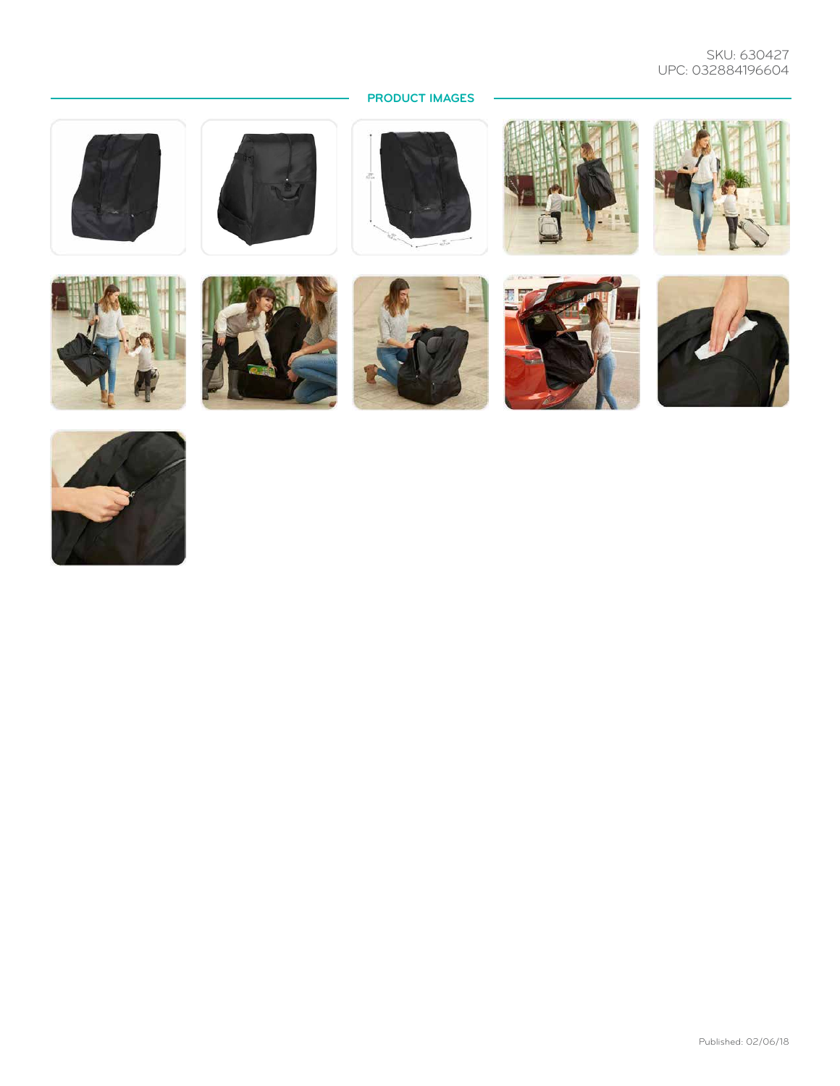## SKU: 630427 UPC: 032884196604

# **PRODUCT IMAGES**